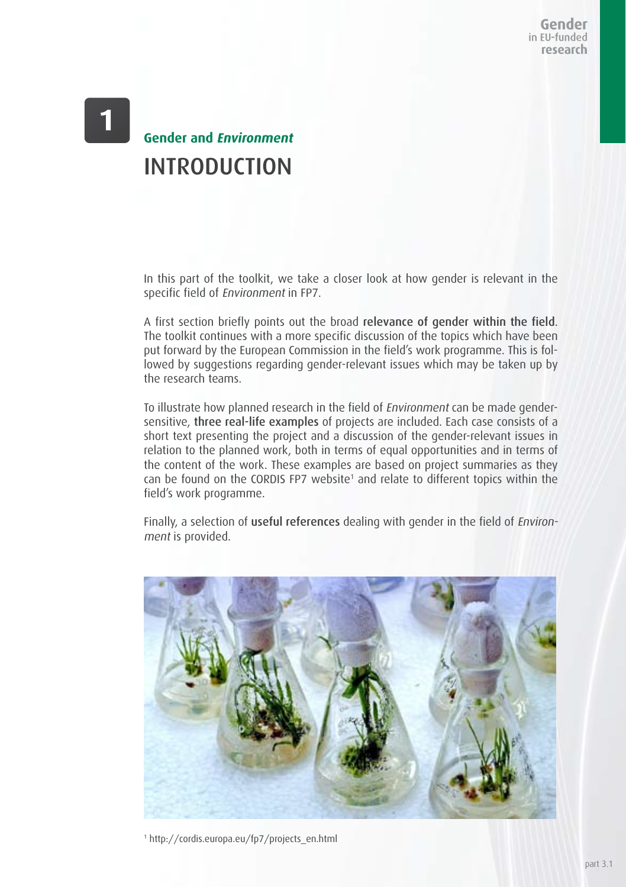Gender in EU-funded research

## **Gender and Environment** INTRODUCTION

In this part of the toolkit, we take a closer look at how gender is relevant in the specific field of Environment in FP7.

A first section briefly points out the broad relevance of gender within the field. The toolkit continues with a more specific discussion of the topics which have been put forward by the European Commission in the field's work programme. This is followed by suggestions regarding gender-relevant issues which may be taken up by the research teams.

To illustrate how planned research in the field of Environment can be made gendersensitive, three real-life examples of projects are included. Each case consists of a short text presenting the project and a discussion of the gender-relevant issues in relation to the planned work, both in terms of equal opportunities and in terms of the content of the work. These examples are based on project summaries as they can be found on the CORDIS FP7 website<sup>1</sup> and relate to different topics within the field's work programme.

Finally, a selection of useful references dealing with gender in the field of Environment is provided.



1 http://cordis.europa.eu/fp7/projects\_en.html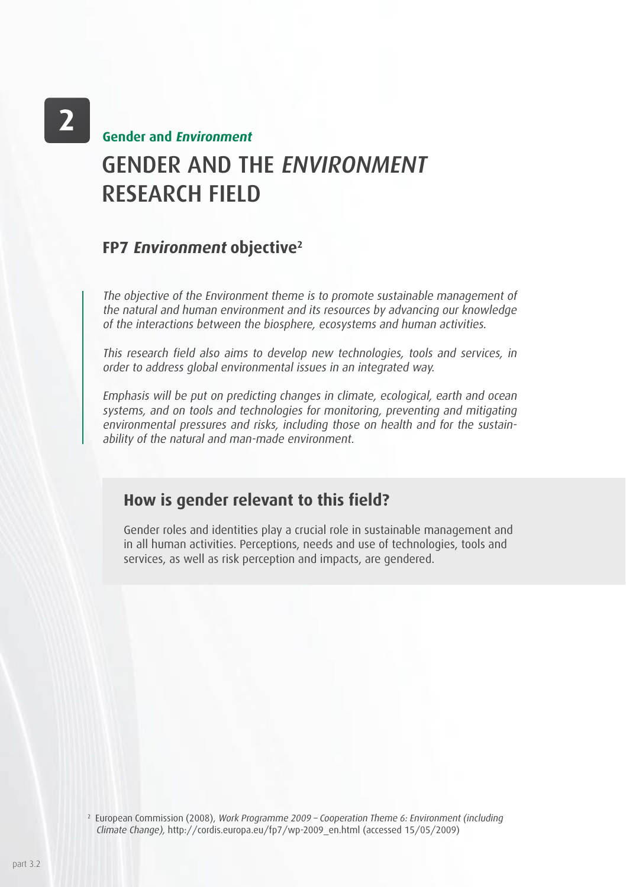## GENDER AND THE ENVIRONMENT RESEARCH FIELD **Gender and Environment**

### **FP7 Environment objective2**

The objective of the Environment theme is to promote sustainable management of the natural and human environment and its resources by advancing our knowledge of the interactions between the biosphere, ecosystems and human activities.

This research field also aims to develop new technologies, tools and services, in order to address global environmental issues in an integrated way.

Emphasis will be put on predicting changes in climate, ecological, earth and ocean systems, and on tools and technologies for monitoring, preventing and mitigating environmental pressures and risks, including those on health and for the sustainability of the natural and man-made environment.

### **How is gender relevant to this field?**

Gender roles and identities play a crucial role in sustainable management and in all human activities. Perceptions, needs and use of technologies, tools and services, as well as risk perception and impacts, are gendered.

<sup>2</sup> European Commission (2008), Work Programme 2009 - Cooperation Theme 6: Environment (including Climate Change), http://cordis.europa.eu/fp7/wp-2009\_en.html (accessed 15/05/2009)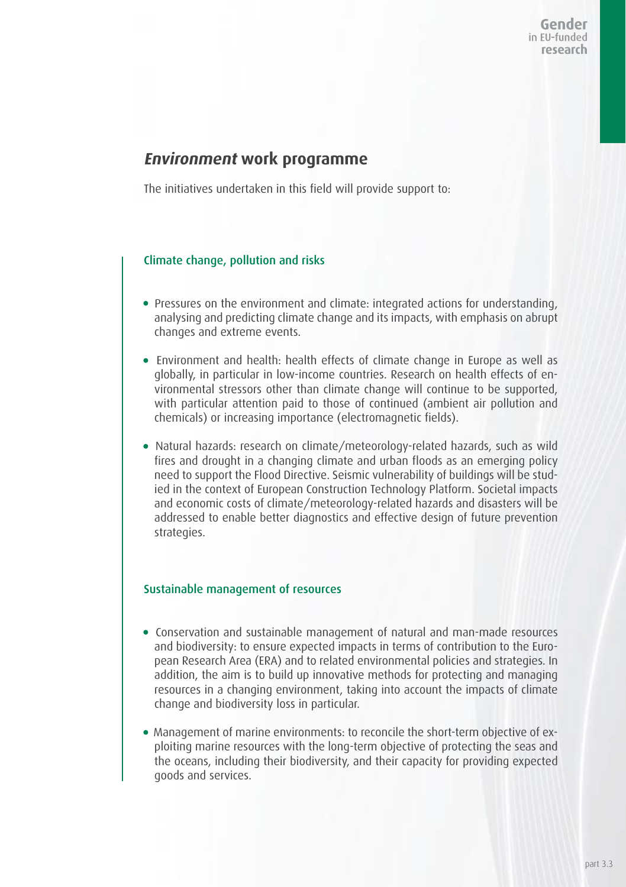### **Environment work programme**

The initiatives undertaken in this field will provide support to:

### Climate change, pollution and risks

- Pressures on the environment and climate: integrated actions for understanding, analysing and predicting climate change and its impacts, with emphasis on abrupt changes and extreme events.
- Environment and health: health effects of climate change in Europe as well as globally, in particular in low-income countries. Research on health effects of environmental stressors other than climate change will continue to be supported, with particular attention paid to those of continued (ambient air pollution and chemicals) or increasing importance (electromagnetic fields).
- Natural hazards: research on climate/meteorology-related hazards, such as wild fires and drought in a changing climate and urban floods as an emerging policy need to support the Flood Directive. Seismic vulnerability of buildings will be studied in the context of European Construction Technology Platform. Societal impacts and economic costs of climate/meteorology-related hazards and disasters will be addressed to enable better diagnostics and effective design of future prevention strategies.

#### Sustainable management of resources

- Conservation and sustainable management of natural and man-made resources and biodiversity: to ensure expected impacts in terms of contribution to the European Research Area (ERA) and to related environmental policies and strategies. In addition, the aim is to build up innovative methods for protecting and managing resources in a changing environment, taking into account the impacts of climate change and biodiversity loss in particular.
- Management of marine environments: to reconcile the short-term objective of exploiting marine resources with the long-term objective of protecting the seas and the oceans, including their biodiversity, and their capacity for providing expected goods and services.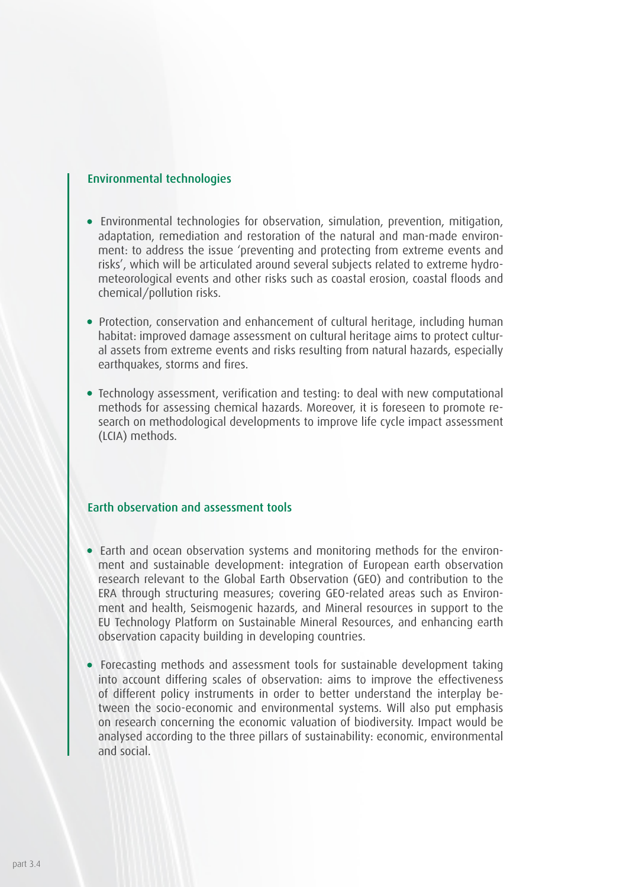#### Environmental technologies

- Environmental technologies for observation, simulation, prevention, mitigation, adaptation, remediation and restoration of the natural and man-made environment: to address the issue 'preventing and protecting from extreme events and risks', which will be articulated around several subjects related to extreme hydrometeorological events and other risks such as coastal erosion, coastal floods and chemical/pollution risks.
- Protection, conservation and enhancement of cultural heritage, including human habitat: improved damage assessment on cultural heritage aims to protect cultural assets from extreme events and risks resulting from natural hazards, especially earthquakes, storms and fires.
- Technology assessment, verification and testing: to deal with new computational methods for assessing chemical hazards. Moreover, it is foreseen to promote research on methodological developments to improve life cycle impact assessment (LCIA) methods.

### Earth observation and assessment tools

- Earth and ocean observation systems and monitoring methods for the environment and sustainable development: integration of European earth observation research relevant to the Global Earth Observation (GEO) and contribution to the ERA through structuring measures; covering GEO-related areas such as Environment and health, Seismogenic hazards, and Mineral resources in support to the EU Technology Platform on Sustainable Mineral Resources, and enhancing earth observation capacity building in developing countries.
- Forecasting methods and assessment tools for sustainable development taking into account differing scales of observation: aims to improve the effectiveness of different policy instruments in order to better understand the interplay between the socio-economic and environmental systems. Will also put emphasis on research concerning the economic valuation of biodiversity. Impact would be analysed according to the three pillars of sustainability: economic, environmental and social.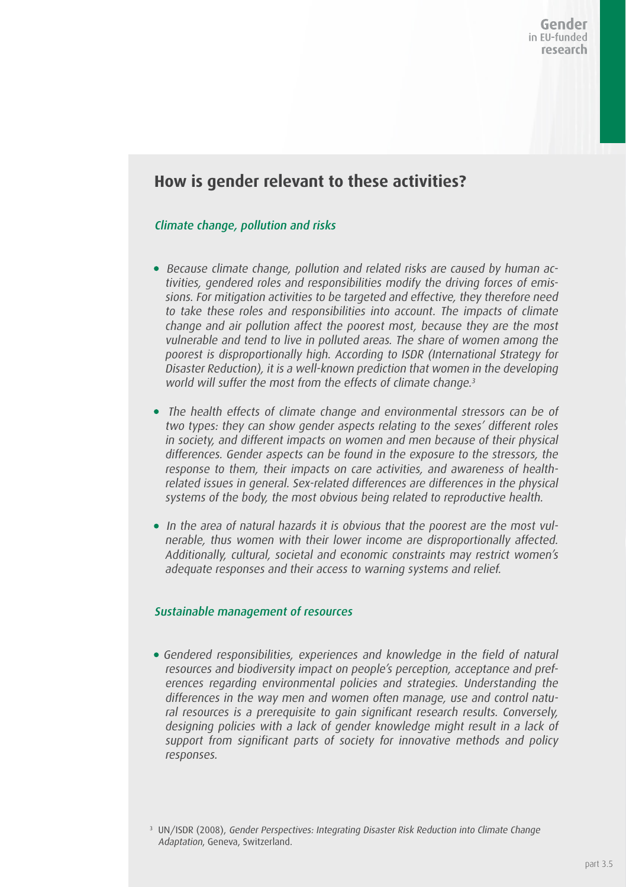### **How is gender relevant to these activities?**

### Climate change, pollution and risks

- Because climate change, pollution and related risks are caused by human activities, gendered roles and responsibilities modify the driving forces of emissions. For mitigation activities to be targeted and effective, they therefore need to take these roles and responsibilities into account. The impacts of climate change and air pollution affect the poorest most, because they are the most vulnerable and tend to live in polluted areas. The share of women among the poorest is disproportionally high. According to ISDR (International Strategy for Disaster Reduction), it is a well-known prediction that women in the developing world will suffer the most from the effects of climate change.<sup>3</sup>
- The health effects of climate change and environmental stressors can be of two types: they can show gender aspects relating to the sexes' different roles in society, and different impacts on women and men because of their physical differences. Gender aspects can be found in the exposure to the stressors, the response to them, their impacts on care activities, and awareness of healthrelated issues in general. Sex-related differences are differences in the physical systems of the body, the most obvious being related to reproductive health.
- In the area of natural hazards it is obvious that the poorest are the most vulnerable, thus women with their lower income are disproportionally affected. Additionally, cultural, societal and economic constraints may restrict women's adequate responses and their access to warning systems and relief.

#### Sustainable management of resources

Gendered responsibilities, experiences and knowledge in the field of natural resources and biodiversity impact on people's perception, acceptance and preferences regarding environmental policies and strategies. Understanding the differences in the way men and women often manage, use and control natural resources is a prerequisite to gain significant research results. Conversely, designing policies with a lack of gender knowledge might result in a lack of support from significant parts of society for innovative methods and policy responses.

<sup>&</sup>lt;sup>3</sup> UN/ISDR (2008), Gender Perspectives: Integrating Disaster Risk Reduction into Climate Change Adaptation, Geneva, Switzerland.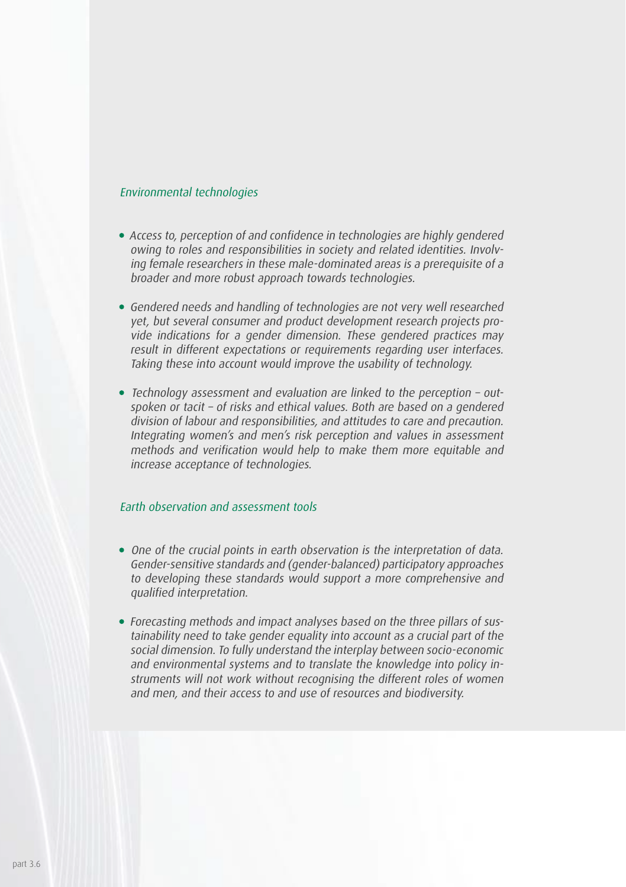#### Environmental technologies

- Access to, perception of and confidence in technologies are highly gendered owing to roles and responsibilities in society and related identities. Involving female researchers in these male-dominated areas is a prerequisite of a broader and more robust approach towards technologies.
- Gendered needs and handling of technologies are not very well researched yet, but several consumer and product development research projects provide indications for a gender dimension. These gendered practices may result in different expectations or requirements regarding user interfaces. Taking these into account would improve the usability of technology.
- $\bullet$  Technology assessment and evaluation are linked to the perception outspoken or tacit – of risks and ethical values. Both are based on a gendered division of labour and responsibilities, and attitudes to care and precaution. Integrating women's and men's risk perception and values in assessment methods and verification would help to make them more equitable and increase acceptance of technologies.

### Earth observation and assessment tools

- One of the crucial points in earth observation is the interpretation of data. Gender-sensitive standards and (gender-balanced) participatory approaches to developing these standards would support a more comprehensive and qualified interpretation.
- Forecasting methods and impact analyses based on the three pillars of sustainability need to take gender equality into account as a crucial part of the social dimension. To fully understand the interplay between socio-economic and environmental systems and to translate the knowledge into policy instruments will not work without recognising the different roles of women and men, and their access to and use of resources and biodiversity.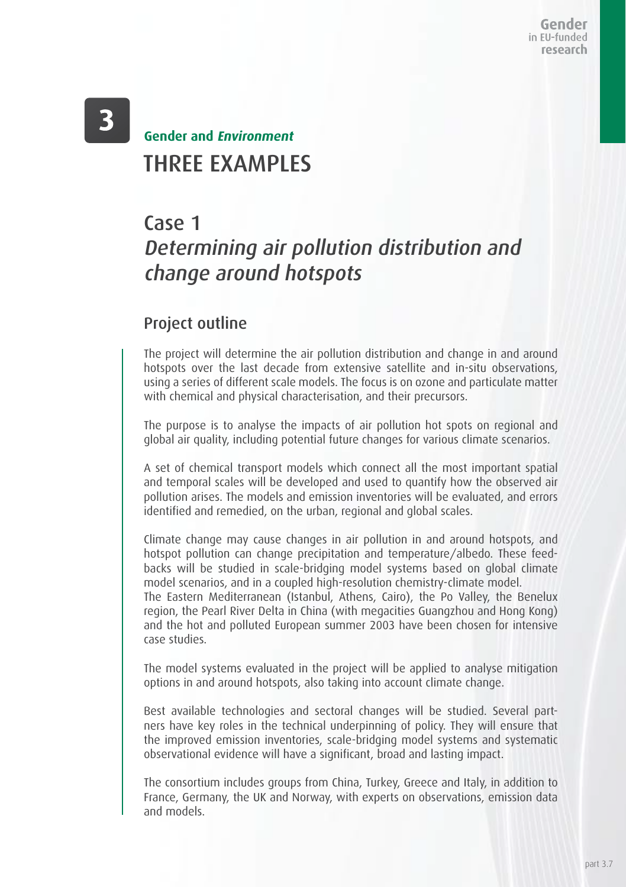## THREE EXAMPLES **Gender and Environment**

## Case 1

# Determining air pollution distribution and change around hotspots

### Project outline

The project will determine the air pollution distribution and change in and around hotspots over the last decade from extensive satellite and in-situ observations, using a series of different scale models. The focus is on ozone and particulate matter with chemical and physical characterisation, and their precursors.

The purpose is to analyse the impacts of air pollution hot spots on regional and global air quality, including potential future changes for various climate scenarios.

A set of chemical transport models which connect all the most important spatial and temporal scales will be developed and used to quantify how the observed air pollution arises. The models and emission inventories will be evaluated, and errors identified and remedied, on the urban, regional and global scales.

Climate change may cause changes in air pollution in and around hotspots, and hotspot pollution can change precipitation and temperature/albedo. These feedbacks will be studied in scale-bridging model systems based on global climate model scenarios, and in a coupled high-resolution chemistry-climate model.

The Eastern Mediterranean (Istanbul, Athens, Cairo), the Po Valley, the Benelux region, the Pearl River Delta in China (with megacities Guangzhou and Hong Kong) and the hot and polluted European summer 2003 have been chosen for intensive case studies.

The model systems evaluated in the project will be applied to analyse mitigation options in and around hotspots, also taking into account climate change.

Best available technologies and sectoral changes will be studied. Several partners have key roles in the technical underpinning of policy. They will ensure that the improved emission inventories, scale-bridging model systems and systematic observational evidence will have a significant, broad and lasting impact.

The consortium includes groups from China, Turkey, Greece and Italy, in addition to France, Germany, the UK and Norway, with experts on observations, emission data and models.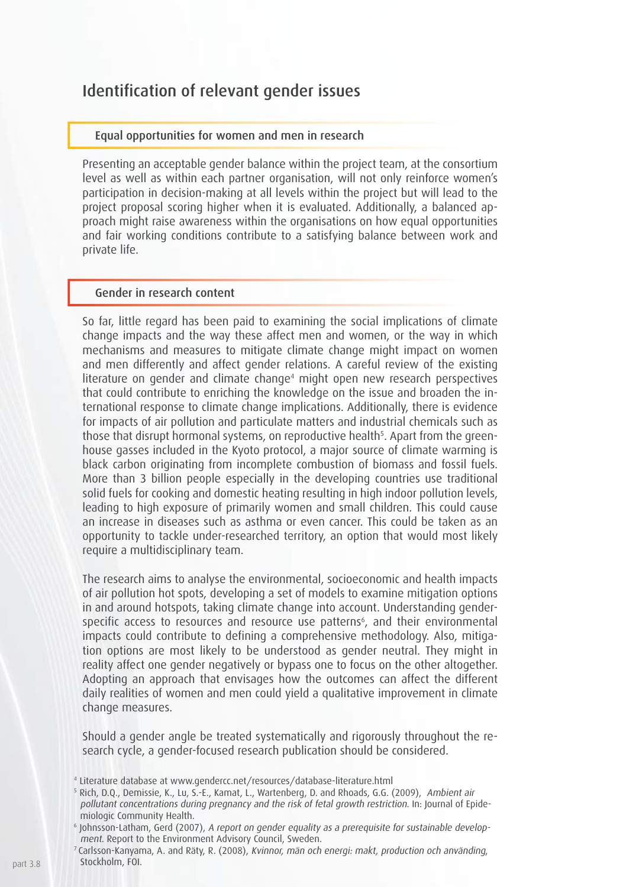### Identification of relevant gender issues

#### Equal opportunities for women and men in research

Presenting an acceptable gender balance within the project team, at the consortium level as well as within each partner organisation, will not only reinforce women's participation in decision-making at all levels within the project but will lead to the project proposal scoring higher when it is evaluated. Additionally, a balanced approach might raise awareness within the organisations on how equal opportunities and fair working conditions contribute to a satisfying balance between work and private life.

#### Gender in research content

So far, little regard has been paid to examining the social implications of climate change impacts and the way these affect men and women, or the way in which mechanisms and measures to mitigate climate change might impact on women and men differently and affect gender relations. A careful review of the existing literature on gender and climate change4 might open new research perspectives that could contribute to enriching the knowledge on the issue and broaden the international response to climate change implications. Additionally, there is evidence for impacts of air pollution and particulate matters and industrial chemicals such as those that disrupt hormonal systems, on reproductive health<sup>s</sup>. Apart from the greenhouse gasses included in the Kyoto protocol, a major source of climate warming is black carbon originating from incomplete combustion of biomass and fossil fuels. More than 3 billion people especially in the developing countries use traditional solid fuels for cooking and domestic heating resulting in high indoor pollution levels, leading to high exposure of primarily women and small children. This could cause an increase in diseases such as asthma or even cancer. This could be taken as an opportunity to tackle under-researched territory, an option that would most likely require a multidisciplinary team.

The research aims to analyse the environmental, socioeconomic and health impacts of air pollution hot spots, developing a set of models to examine mitigation options in and around hotspots, taking climate change into account. Understanding genderspecific access to resources and resource use patterns<sup>6</sup>, and their environmental impacts could contribute to defining a comprehensive methodology. Also, mitigation options are most likely to be understood as gender neutral. They might in reality affect one gender negatively or bypass one to focus on the other altogether. Adopting an approach that envisages how the outcomes can affect the different daily realities of women and men could yield a qualitative improvement in climate change measures.

Should a gender angle be treated systematically and rigorously throughout the research cycle, a gender-focused research publication should be considered.

<sup>4</sup> Literature database at www.gendercc.net/resources/database-literature.html

<sup>5</sup> Rich, D.Q., Demissie, K., Lu, S.-E., Kamat, L., Wartenberg, D. and Rhoads, G.G. (2009), Ambient air pollutant concentrations during pregnancy and the risk of fetal growth restriction. In: Journal of Epidemiologic Community Health.

<sup>6</sup> Johnsson-Latham, Gerd (2007), A report on gender equality as a prerequisite for sustainable development. Report to the Environment Advisory Council, Sweden.<br>7 Carlsson-Kanyama, A. and Räty, R. (2008), Kvinnor, män och energi: makt, production och använding,

Stockholm, FOI.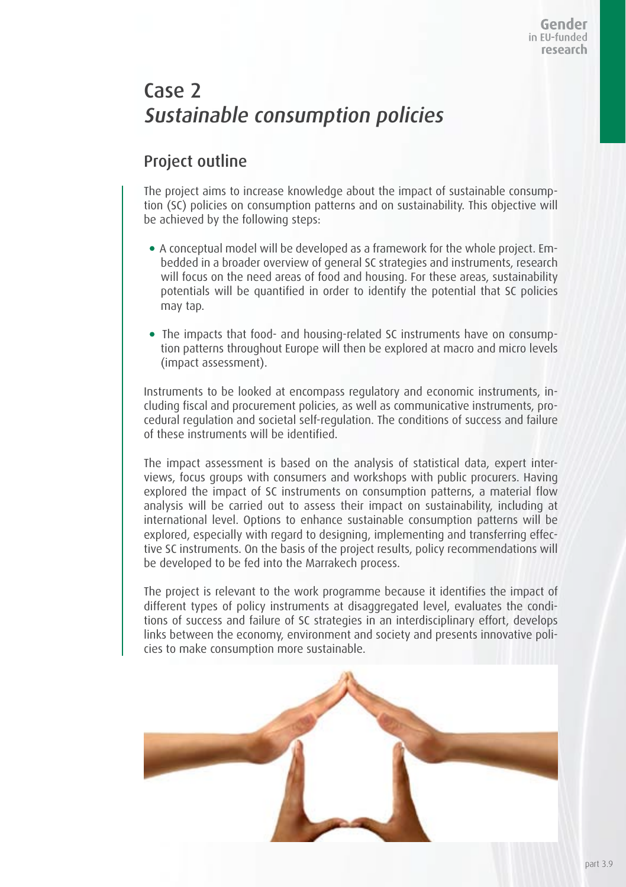## Case 2 Sustainable consumption policies

### Project outline

The project aims to increase knowledge about the impact of sustainable consumption (SC) policies on consumption patterns and on sustainability. This objective will be achieved by the following steps:

- A conceptual model will be developed as a framework for the whole project. Embedded in a broader overview of general SC strategies and instruments, research will focus on the need areas of food and housing. For these areas, sustainability potentials will be quantified in order to identify the potential that SC policies may tap.
- The impacts that food- and housing-related SC instruments have on consumption patterns throughout Europe will then be explored at macro and micro levels (impact assessment).

Instruments to be looked at encompass regulatory and economic instruments, including fiscal and procurement policies, as well as communicative instruments, procedural regulation and societal self-regulation. The conditions of success and failure of these instruments will be identified.

The impact assessment is based on the analysis of statistical data, expert interviews, focus groups with consumers and workshops with public procurers. Having explored the impact of SC instruments on consumption patterns, a material flow analysis will be carried out to assess their impact on sustainability, including at international level. Options to enhance sustainable consumption patterns will be explored, especially with regard to designing, implementing and transferring effective SC instruments. On the basis of the project results, policy recommendations will be developed to be fed into the Marrakech process.

The project is relevant to the work programme because it identifies the impact of different types of policy instruments at disaggregated level, evaluates the conditions of success and failure of SC strategies in an interdisciplinary effort, develops links between the economy, environment and society and presents innovative policies to make consumption more sustainable.

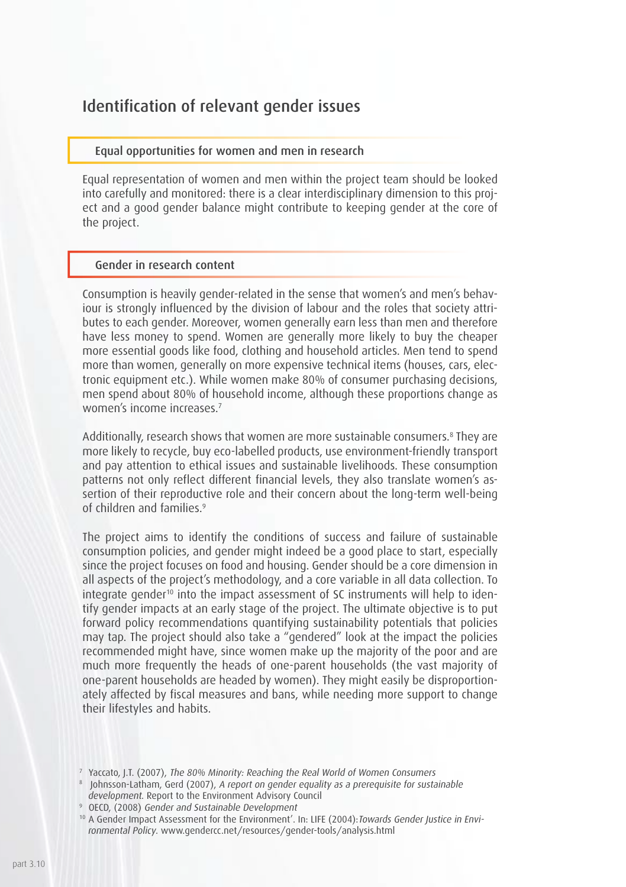### Identification of relevant gender issues

#### Equal opportunities for women and men in research

Equal representation of women and men within the project team should be looked into carefully and monitored: there is a clear interdisciplinary dimension to this project and a good gender balance might contribute to keeping gender at the core of the project.

#### Gender in research content

Consumption is heavily gender-related in the sense that women's and men's behaviour is strongly influenced by the division of labour and the roles that society attributes to each gender. Moreover, women generally earn less than men and therefore have less money to spend. Women are generally more likely to buy the cheaper more essential goods like food, clothing and household articles. Men tend to spend more than women, generally on more expensive technical items (houses, cars, electronic equipment etc.). While women make 80% of consumer purchasing decisions, men spend about 80% of household income, although these proportions change as women's income increases.7

Additionally, research shows that women are more sustainable consumers.8 They are more likely to recycle, buy eco-labelled products, use environment-friendly transport and pay attention to ethical issues and sustainable livelihoods. These consumption patterns not only reflect different financial levels, they also translate women's assertion of their reproductive role and their concern about the long-term well-being of children and families.9

The project aims to identify the conditions of success and failure of sustainable consumption policies, and gender might indeed be a good place to start, especially since the project focuses on food and housing. Gender should be a core dimension in all aspects of the project's methodology, and a core variable in all data collection. To integrate gender<sup>10</sup> into the impact assessment of SC instruments will help to identify gender impacts at an early stage of the project. The ultimate objective is to put forward policy recommendations quantifying sustainability potentials that policies may tap. The project should also take a "gendered" look at the impact the policies recommended might have, since women make up the majority of the poor and are much more frequently the heads of one-parent households (the vast majority of one-parent households are headed by women). They might easily be disproportionately affected by fiscal measures and bans, while needing more support to change their lifestyles and habits.

<sup>10</sup> A Gender Impact Assessment for the Environment'. In: LIFE (2004): Towards Gender Justice in Environmental Policy. www.gendercc.net/resources/gender-tools/analysis.html

<sup>7</sup> Yaccato, J.T. (2007), The 80% Minority: Reaching the Real World of Women Consumers

<sup>&</sup>lt;sup>8</sup> Johnsson-Latham, Gerd (2007), A report on gender equality as a prerequisite for sustainable development. Report to the Environment Advisory Council

<sup>9</sup> OECD, (2008) Gender and Sustainable Development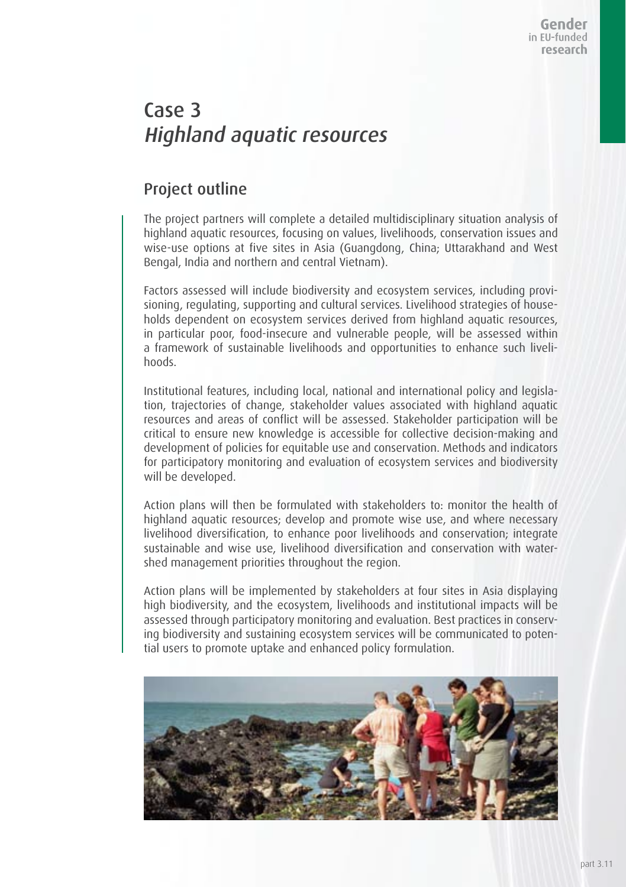## Case 3 Highland aquatic resources

### Project outline

The project partners will complete a detailed multidisciplinary situation analysis of highland aquatic resources, focusing on values, livelihoods, conservation issues and wise-use options at five sites in Asia (Guangdong, China; Uttarakhand and West Bengal, India and northern and central Vietnam).

Factors assessed will include biodiversity and ecosystem services, including provisioning, regulating, supporting and cultural services. Livelihood strategies of households dependent on ecosystem services derived from highland aquatic resources, in particular poor, food-insecure and vulnerable people, will be assessed within a framework of sustainable livelihoods and opportunities to enhance such livelihoods.

Institutional features, including local, national and international policy and legislation, trajectories of change, stakeholder values associated with highland aquatic resources and areas of conflict will be assessed. Stakeholder participation will be critical to ensure new knowledge is accessible for collective decision-making and development of policies for equitable use and conservation. Methods and indicators for participatory monitoring and evaluation of ecosystem services and biodiversity will be developed.

Action plans will then be formulated with stakeholders to: monitor the health of highland aquatic resources; develop and promote wise use, and where necessary livelihood diversification, to enhance poor livelihoods and conservation; integrate sustainable and wise use, livelihood diversification and conservation with watershed management priorities throughout the region.

Action plans will be implemented by stakeholders at four sites in Asia displaying high biodiversity, and the ecosystem, livelihoods and institutional impacts will be assessed through participatory monitoring and evaluation. Best practices in conserving biodiversity and sustaining ecosystem services will be communicated to potential users to promote uptake and enhanced policy formulation.

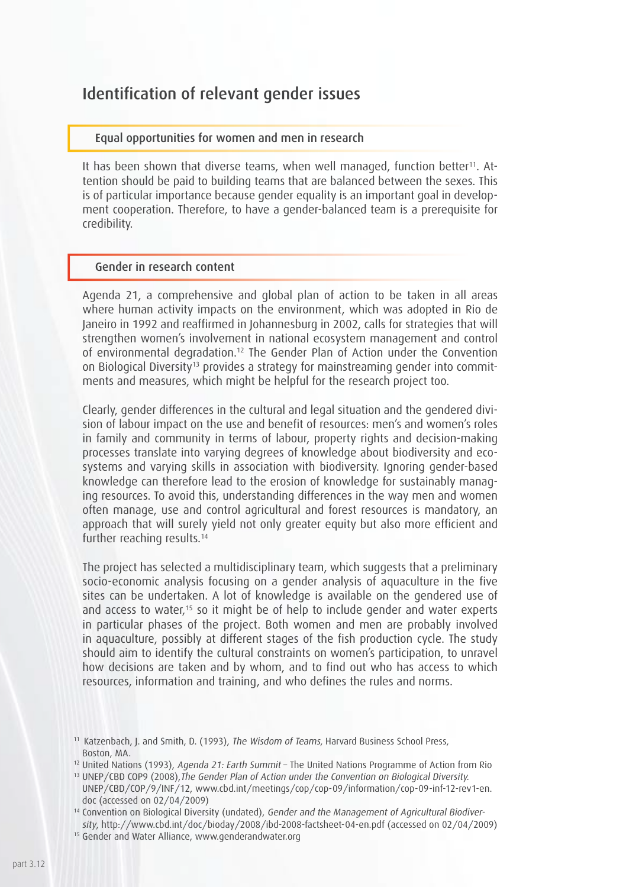### Identification of relevant gender issues

#### Equal opportunities for women and men in research

It has been shown that diverse teams, when well managed, function better<sup>11</sup>. Attention should be paid to building teams that are balanced between the sexes. This is of particular importance because gender equality is an important goal in development cooperation. Therefore, to have a gender-balanced team is a prerequisite for credibility.

#### Gender in research content

Agenda 21, a comprehensive and global plan of action to be taken in all areas where human activity impacts on the environment, which was adopted in Rio de Janeiro in 1992 and reaffirmed in Johannesburg in 2002, calls for strategies that will strengthen women's involvement in national ecosystem management and control of environmental degradation.12 The Gender Plan of Action under the Convention on Biological Diversity<sup>13</sup> provides a strategy for mainstreaming gender into commitments and measures, which might be helpful for the research project too.

Clearly, gender differences in the cultural and legal situation and the gendered division of labour impact on the use and benefit of resources: men's and women's roles in family and community in terms of labour, property rights and decision-making processes translate into varying degrees of knowledge about biodiversity and ecosystems and varying skills in association with biodiversity. Ignoring gender-based knowledge can therefore lead to the erosion of knowledge for sustainably managing resources. To avoid this, understanding differences in the way men and women often manage, use and control agricultural and forest resources is mandatory, an approach that will surely yield not only greater equity but also more efficient and further reaching results.<sup>14</sup>

The project has selected a multidisciplinary team, which suggests that a preliminary socio-economic analysis focusing on a gender analysis of aquaculture in the five sites can be undertaken. A lot of knowledge is available on the gendered use of and access to water,<sup>15</sup> so it might be of help to include gender and water experts in particular phases of the project. Both women and men are probably involved in aquaculture, possibly at different stages of the fish production cycle. The study should aim to identify the cultural constraints on women's participation, to unravel how decisions are taken and by whom, and to find out who has access to which resources, information and training, and who defines the rules and norms.

<sup>&</sup>lt;sup>11</sup> Katzenbach, J. and Smith, D. (1993), The Wisdom of Teams, Harvard Business School Press. Boston, MA.

<sup>&</sup>lt;sup>12</sup> United Nations (1993), *Agenda 21: Farth Summit* – The United Nations Programme of Action from Rio

<sup>&</sup>lt;sup>13</sup> UNEP/CBD COP9 (2008). The Gender Plan of Action under the Convention on Biological Diversity. UNEP/CBD/COP/9/INF/12, www.cbd.int/meetings/cop/cop-09/information/cop-09-inf-12-rev1-en. doc (accessed on 02/04/2009)

<sup>&</sup>lt;sup>14</sup> Convention on Biological Diversity (undated), Gender and the Management of Agricultural Biodiversity, http://www.cbd.int/doc/bioday/2008/ibd-2008-factsheet-04-en.pdf (accessed on 02/04/2009)

<sup>&</sup>lt;sup>15</sup> Gender and Water Alliance, www.genderandwater.org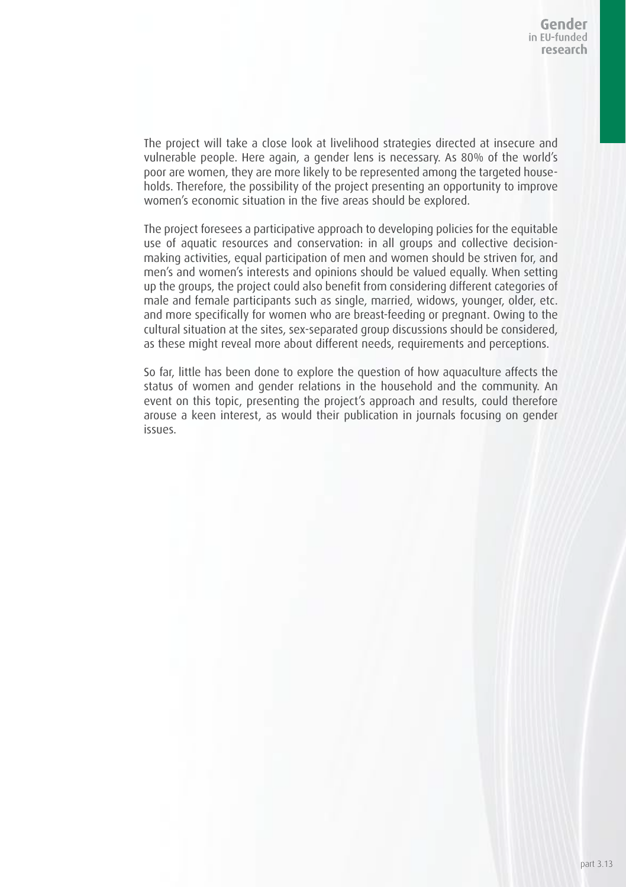The project will take a close look at livelihood strategies directed at insecure and vulnerable people. Here again, a gender lens is necessary. As 80% of the world's poor are women, they are more likely to be represented among the targeted households. Therefore, the possibility of the project presenting an opportunity to improve women's economic situation in the five areas should be explored.

The project foresees a participative approach to developing policies for the equitable use of aquatic resources and conservation: in all groups and collective decisionmaking activities, equal participation of men and women should be striven for, and men's and women's interests and opinions should be valued equally. When setting up the groups, the project could also benefit from considering different categories of male and female participants such as single, married, widows, younger, older, etc. and more specifically for women who are breast-feeding or pregnant. Owing to the cultural situation at the sites, sex-separated group discussions should be considered, as these might reveal more about different needs, requirements and perceptions.

So far, little has been done to explore the question of how aquaculture affects the status of women and gender relations in the household and the community. An event on this topic, presenting the project's approach and results, could therefore arouse a keen interest, as would their publication in journals focusing on gender issues.